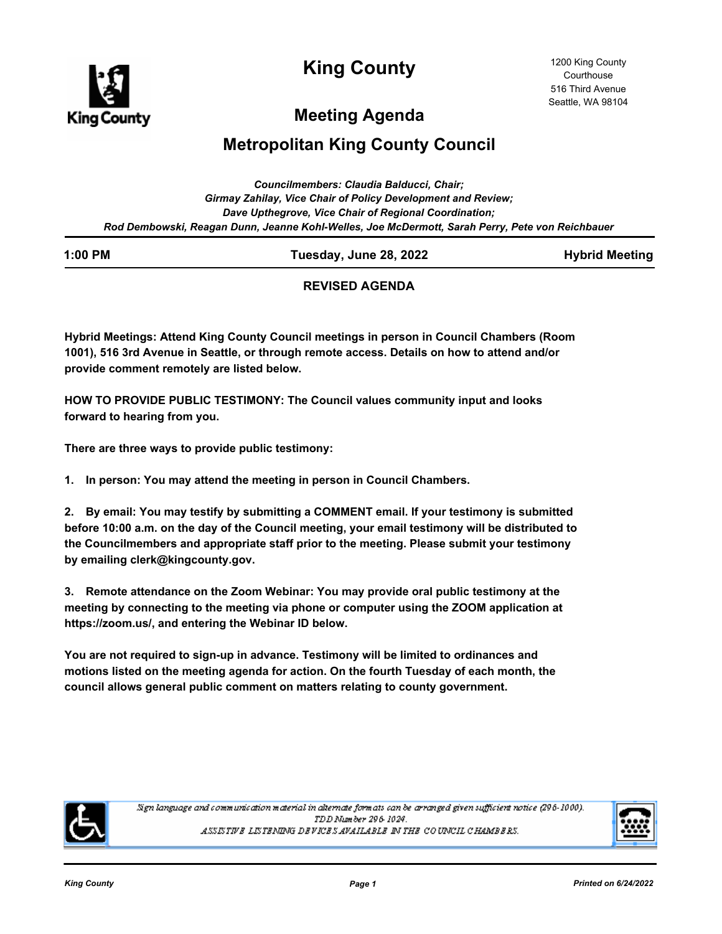

**King County**

# **Meeting Agenda**

# **Metropolitan King County Council**

| Councilmembers: Claudia Balducci, Chair:                                                        |  |  |  |  |  |
|-------------------------------------------------------------------------------------------------|--|--|--|--|--|
| Girmay Zahilay, Vice Chair of Policy Development and Review;                                    |  |  |  |  |  |
| Dave Upthegrove, Vice Chair of Regional Coordination;                                           |  |  |  |  |  |
| Rod Dembowski, Reagan Dunn, Jeanne Kohl-Welles, Joe McDermott, Sarah Perry, Pete von Reichbauer |  |  |  |  |  |

| ı | :00 |  | РM |
|---|-----|--|----|
|   |     |  |    |

**1:00 PM Tuesday, June 28, 2022 Hybrid Meeting**

# **REVISED AGENDA**

**Hybrid Meetings: Attend King County Council meetings in person in Council Chambers (Room 1001), 516 3rd Avenue in Seattle, or through remote access. Details on how to attend and/or provide comment remotely are listed below.**

**HOW TO PROVIDE PUBLIC TESTIMONY: The Council values community input and looks forward to hearing from you.**

**There are three ways to provide public testimony:**

**1. In person: You may attend the meeting in person in Council Chambers.**

**2. By email: You may testify by submitting a COMMENT email. If your testimony is submitted before 10:00 a.m. on the day of the Council meeting, your email testimony will be distributed to the Councilmembers and appropriate staff prior to the meeting. Please submit your testimony by emailing clerk@kingcounty.gov.**

**3. Remote attendance on the Zoom Webinar: You may provide oral public testimony at the meeting by connecting to the meeting via phone or computer using the ZOOM application at https://zoom.us/, and entering the Webinar ID below.**

**You are not required to sign-up in advance. Testimony will be limited to ordinances and motions listed on the meeting agenda for action. On the fourth Tuesday of each month, the council allows general public comment on matters relating to county government.**



Sign language and communication material in alternate formats can be arranged given sufficient notice (296-1000). TDD Number 296-1024. ASSISTIVE LISTENING DEVICES AVAILABLE IN THE COUNCIL CHAMBERS.

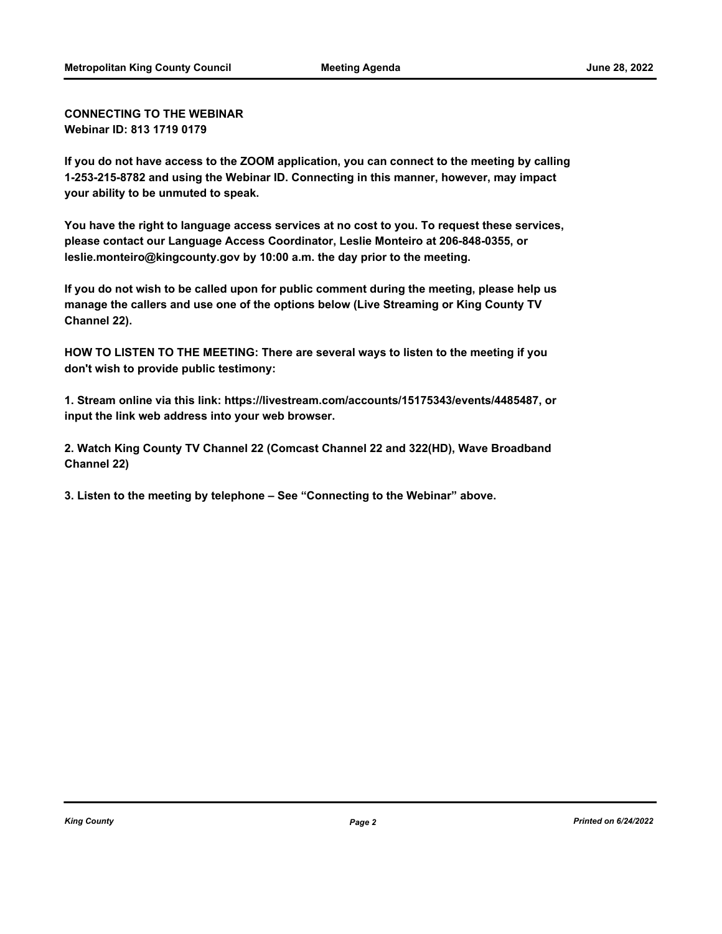**CONNECTING TO THE WEBINAR Webinar ID: 813 1719 0179**

**If you do not have access to the ZOOM application, you can connect to the meeting by calling 1-253-215-8782 and using the Webinar ID. Connecting in this manner, however, may impact your ability to be unmuted to speak.**

**You have the right to language access services at no cost to you. To request these services, please contact our Language Access Coordinator, Leslie Monteiro at 206-848-0355, or leslie.monteiro@kingcounty.gov by 10:00 a.m. the day prior to the meeting.**

**If you do not wish to be called upon for public comment during the meeting, please help us manage the callers and use one of the options below (Live Streaming or King County TV Channel 22).**

**HOW TO LISTEN TO THE MEETING: There are several ways to listen to the meeting if you don't wish to provide public testimony:**

**1. Stream online via this link: https://livestream.com/accounts/15175343/events/4485487, or input the link web address into your web browser.**

**2. Watch King County TV Channel 22 (Comcast Channel 22 and 322(HD), Wave Broadband Channel 22)**

**3. Listen to the meeting by telephone – See "Connecting to the Webinar" above.**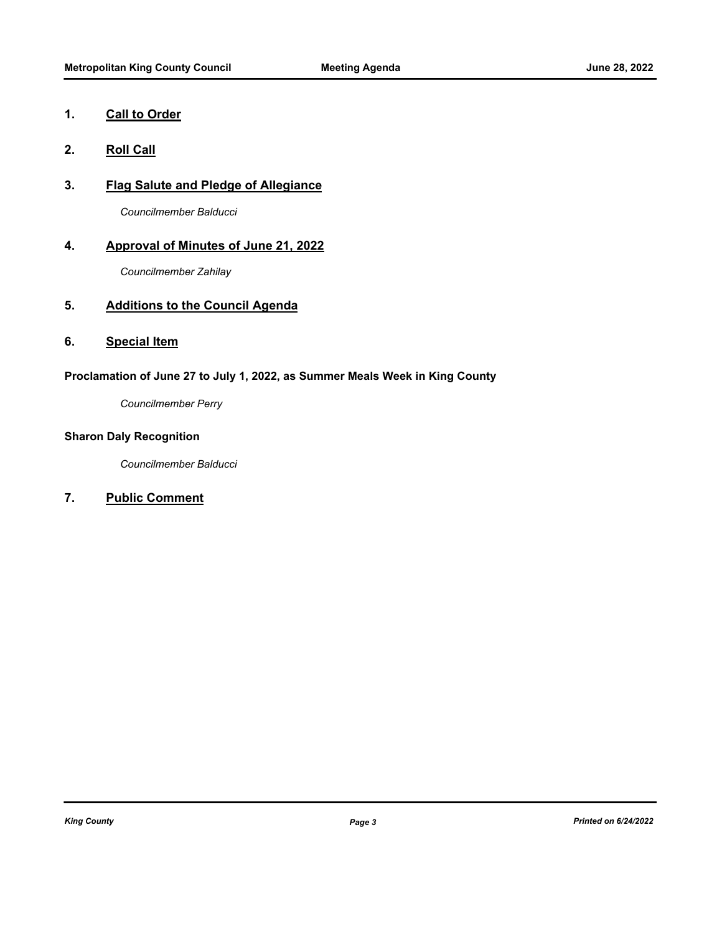# **1. Call to Order**

- **2. Roll Call**
- **3. Flag Salute and Pledge of Allegiance**

*Councilmember Balducci*

# **4. Approval of Minutes of June 21, 2022**

*Councilmember Zahilay*

# **5. Additions to the Council Agenda**

# **6. Special Item**

# **Proclamation of June 27 to July 1, 2022, as Summer Meals Week in King County**

*Councilmember Perry*

# **Sharon Daly Recognition**

*Councilmember Balducci*

# **7. Public Comment**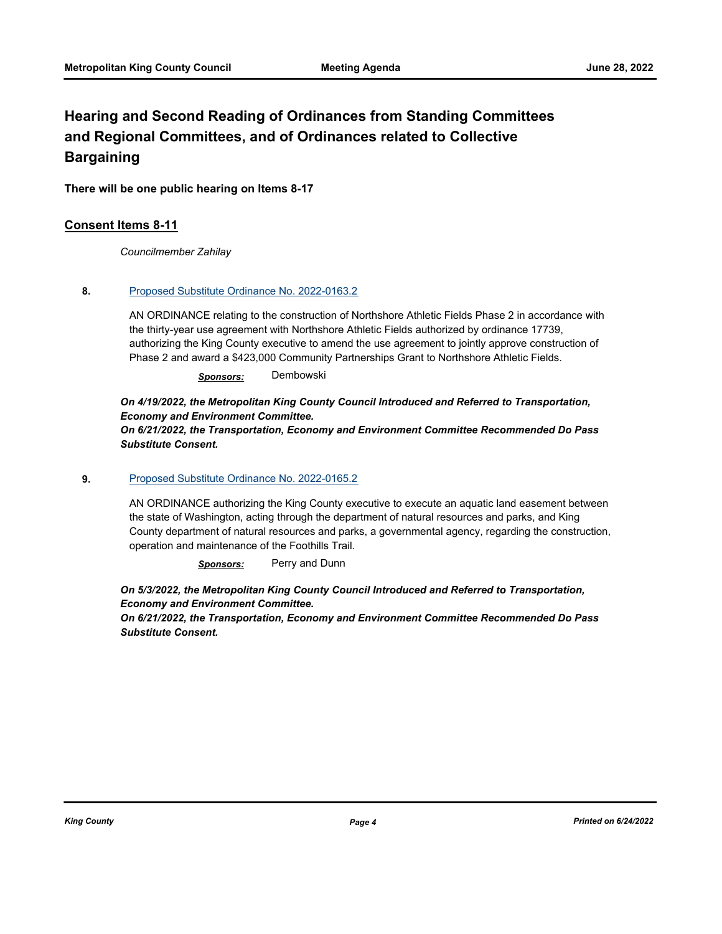# **Hearing and Second Reading of Ordinances from Standing Committees and Regional Committees, and of Ordinances related to Collective Bargaining**

**There will be one public hearing on Items 8-17**

# **Consent Items 8-11**

*Councilmember Zahilay*

### **8.** [Proposed Substitute Ordinance No. 2022-0163.2](http://kingcounty.legistar.com/gateway.aspx?m=l&id=/matter.aspx?key=23048)

AN ORDINANCE relating to the construction of Northshore Athletic Fields Phase 2 in accordance with the thirty-year use agreement with Northshore Athletic Fields authorized by ordinance 17739, authorizing the King County executive to amend the use agreement to jointly approve construction of Phase 2 and award a \$423,000 Community Partnerships Grant to Northshore Athletic Fields.

*Sponsors:* Dembowski

# *On 4/19/2022, the Metropolitan King County Council Introduced and Referred to Transportation, Economy and Environment Committee.*

*On 6/21/2022, the Transportation, Economy and Environment Committee Recommended Do Pass Substitute Consent.*

#### **9.** [Proposed Substitute Ordinance No. 2022-0165.2](http://kingcounty.legistar.com/gateway.aspx?m=l&id=/matter.aspx?key=23050)

AN ORDINANCE authorizing the King County executive to execute an aquatic land easement between the state of Washington, acting through the department of natural resources and parks, and King County department of natural resources and parks, a governmental agency, regarding the construction, operation and maintenance of the Foothills Trail.

*Sponsors:* Perry and Dunn

*On 5/3/2022, the Metropolitan King County Council Introduced and Referred to Transportation, Economy and Environment Committee.* 

*On 6/21/2022, the Transportation, Economy and Environment Committee Recommended Do Pass Substitute Consent.*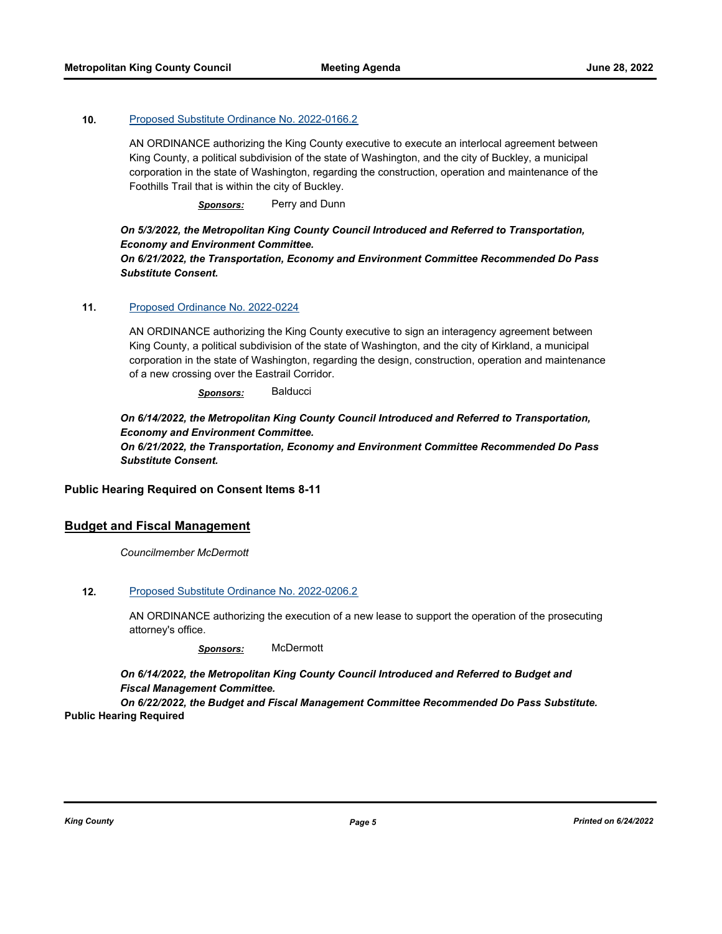### **10.** [Proposed Substitute Ordinance No. 2022-0166.2](http://kingcounty.legistar.com/gateway.aspx?m=l&id=/matter.aspx?key=23051)

AN ORDINANCE authorizing the King County executive to execute an interlocal agreement between King County, a political subdivision of the state of Washington, and the city of Buckley, a municipal corporation in the state of Washington, regarding the construction, operation and maintenance of the Foothills Trail that is within the city of Buckley.

*Sponsors:* Perry and Dunn

# *On 5/3/2022, the Metropolitan King County Council Introduced and Referred to Transportation, Economy and Environment Committee.*

*On 6/21/2022, the Transportation, Economy and Environment Committee Recommended Do Pass Substitute Consent.*

### **11.** [Proposed Ordinance No. 2022-0224](http://kingcounty.legistar.com/gateway.aspx?m=l&id=/matter.aspx?key=23178)

AN ORDINANCE authorizing the King County executive to sign an interagency agreement between King County, a political subdivision of the state of Washington, and the city of Kirkland, a municipal corporation in the state of Washington, regarding the design, construction, operation and maintenance of a new crossing over the Eastrail Corridor.

*Sponsors:* Balducci

## *On 6/14/2022, the Metropolitan King County Council Introduced and Referred to Transportation, Economy and Environment Committee. On 6/21/2022, the Transportation, Economy and Environment Committee Recommended Do Pass Substitute Consent.*

### **Public Hearing Required on Consent Items 8-11**

# **Budget and Fiscal Management**

*Councilmember McDermott*

### **12.** [Proposed Substitute Ordinance No. 2022-0206.2](http://kingcounty.legistar.com/gateway.aspx?m=l&id=/matter.aspx?key=23145)

AN ORDINANCE authorizing the execution of a new lease to support the operation of the prosecuting attorney's office.

*Sponsors:* McDermott

*On 6/14/2022, the Metropolitan King County Council Introduced and Referred to Budget and Fiscal Management Committee.* 

*On 6/22/2022, the Budget and Fiscal Management Committee Recommended Do Pass Substitute.* **Public Hearing Required**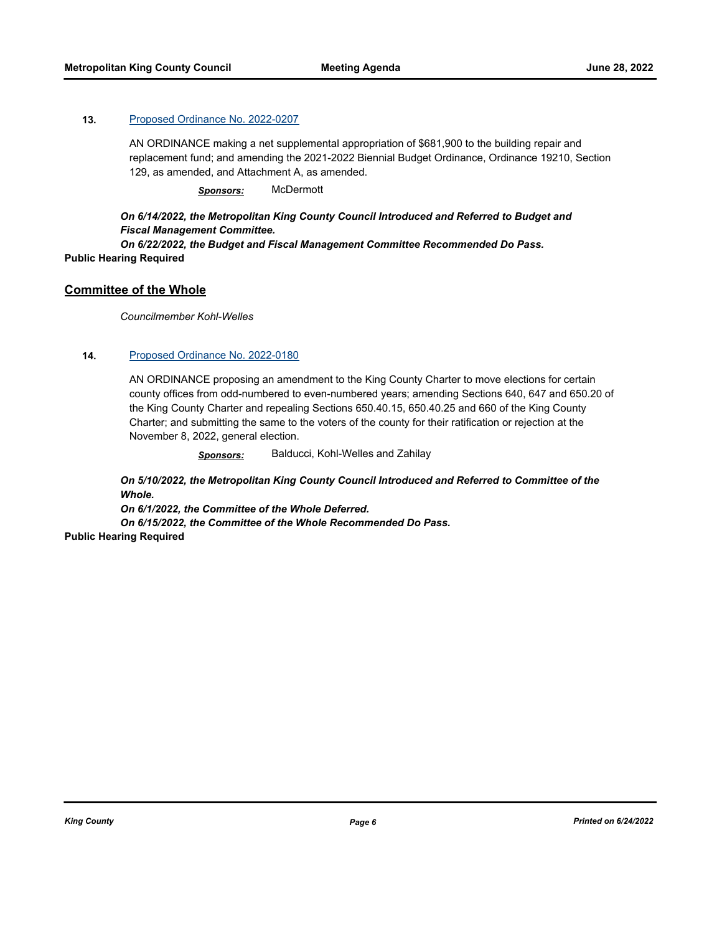### **13.** [Proposed Ordinance No. 2022-0207](http://kingcounty.legistar.com/gateway.aspx?m=l&id=/matter.aspx?key=23146)

AN ORDINANCE making a net supplemental appropriation of \$681,900 to the building repair and replacement fund; and amending the 2021-2022 Biennial Budget Ordinance, Ordinance 19210, Section 129, as amended, and Attachment A, as amended.

*Sponsors:* McDermott

## *On 6/14/2022, the Metropolitan King County Council Introduced and Referred to Budget and Fiscal Management Committee.*

*On 6/22/2022, the Budget and Fiscal Management Committee Recommended Do Pass.* **Public Hearing Required**

## **Committee of the Whole**

*Councilmember Kohl-Welles*

### **14.** [Proposed Ordinance No. 2022-0180](http://kingcounty.legistar.com/gateway.aspx?m=l&id=/matter.aspx?key=23097)

AN ORDINANCE proposing an amendment to the King County Charter to move elections for certain county offices from odd-numbered to even-numbered years; amending Sections 640, 647 and 650.20 of the King County Charter and repealing Sections 650.40.15, 650.40.25 and 660 of the King County Charter; and submitting the same to the voters of the county for their ratification or rejection at the November 8, 2022, general election.

*Sponsors:* Balducci, Kohl-Welles and Zahilay

*On 5/10/2022, the Metropolitan King County Council Introduced and Referred to Committee of the Whole.* 

*On 6/1/2022, the Committee of the Whole Deferred. On 6/15/2022, the Committee of the Whole Recommended Do Pass.*

**Public Hearing Required**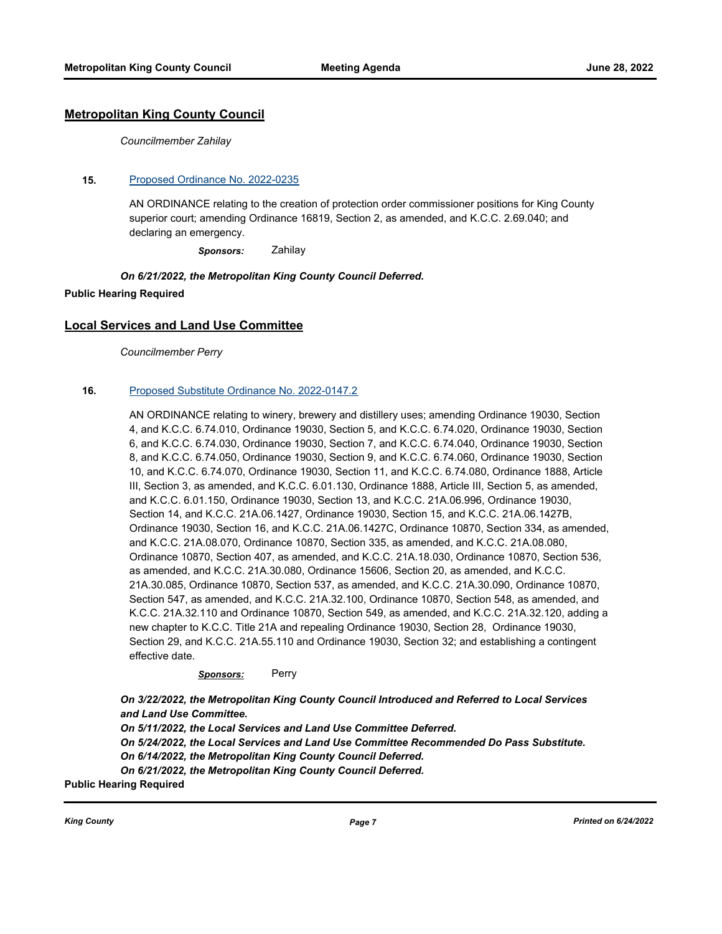# **Metropolitan King County Council**

*Councilmember Zahilay*

#### **15.** [Proposed Ordinance No. 2022-0235](http://kingcounty.legistar.com/gateway.aspx?m=l&id=/matter.aspx?key=23194)

AN ORDINANCE relating to the creation of protection order commissioner positions for King County superior court; amending Ordinance 16819, Section 2, as amended, and K.C.C. 2.69.040; and declaring an emergency.

*Sponsors:* Zahilay

#### *On 6/21/2022, the Metropolitan King County Council Deferred.*

#### **Public Hearing Required**

## **Local Services and Land Use Committee**

*Councilmember Perry*

#### **16.** [Proposed Substitute Ordinance No. 2022-0147.2](http://kingcounty.legistar.com/gateway.aspx?m=l&id=/matter.aspx?key=23007)

AN ORDINANCE relating to winery, brewery and distillery uses; amending Ordinance 19030, Section 4, and K.C.C. 6.74.010, Ordinance 19030, Section 5, and K.C.C. 6.74.020, Ordinance 19030, Section 6, and K.C.C. 6.74.030, Ordinance 19030, Section 7, and K.C.C. 6.74.040, Ordinance 19030, Section 8, and K.C.C. 6.74.050, Ordinance 19030, Section 9, and K.C.C. 6.74.060, Ordinance 19030, Section 10, and K.C.C. 6.74.070, Ordinance 19030, Section 11, and K.C.C. 6.74.080, Ordinance 1888, Article III, Section 3, as amended, and K.C.C. 6.01.130, Ordinance 1888, Article III, Section 5, as amended, and K.C.C. 6.01.150, Ordinance 19030, Section 13, and K.C.C. 21A.06.996, Ordinance 19030, Section 14, and K.C.C. 21A.06.1427, Ordinance 19030, Section 15, and K.C.C. 21A.06.1427B, Ordinance 19030, Section 16, and K.C.C. 21A.06.1427C, Ordinance 10870, Section 334, as amended, and K.C.C. 21A.08.070, Ordinance 10870, Section 335, as amended, and K.C.C. 21A.08.080, Ordinance 10870, Section 407, as amended, and K.C.C. 21A.18.030, Ordinance 10870, Section 536, as amended, and K.C.C. 21A.30.080, Ordinance 15606, Section 20, as amended, and K.C.C. 21A.30.085, Ordinance 10870, Section 537, as amended, and K.C.C. 21A.30.090, Ordinance 10870, Section 547, as amended, and K.C.C. 21A.32.100, Ordinance 10870, Section 548, as amended, and K.C.C. 21A.32.110 and Ordinance 10870, Section 549, as amended, and K.C.C. 21A.32.120, adding a new chapter to K.C.C. Title 21A and repealing Ordinance 19030, Section 28, Ordinance 19030, Section 29, and K.C.C. 21A.55.110 and Ordinance 19030, Section 32; and establishing a contingent effective date.

#### *Sponsors:* Perry

*On 3/22/2022, the Metropolitan King County Council Introduced and Referred to Local Services and Land Use Committee.* 

*On 5/11/2022, the Local Services and Land Use Committee Deferred. On 5/24/2022, the Local Services and Land Use Committee Recommended Do Pass Substitute. On 6/14/2022, the Metropolitan King County Council Deferred. On 6/21/2022, the Metropolitan King County Council Deferred.*

**Public Hearing Required**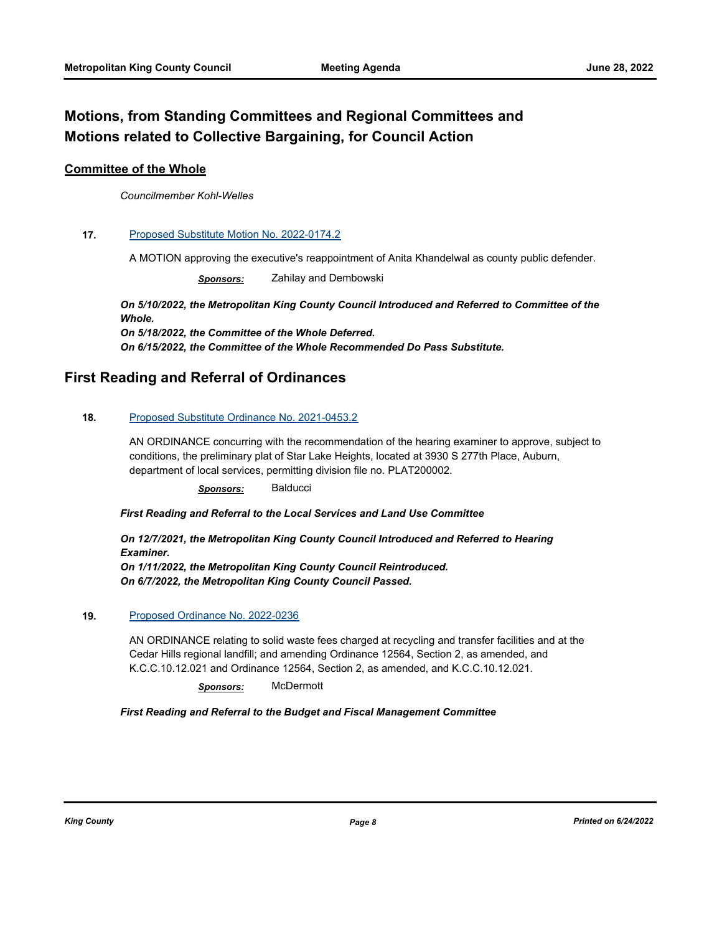# **Motions, from Standing Committees and Regional Committees and Motions related to Collective Bargaining, for Council Action**

# **Committee of the Whole**

*Councilmember Kohl-Welles*

### **17.** [Proposed Substitute Motion No. 2022-0174.2](http://kingcounty.legistar.com/gateway.aspx?m=l&id=/matter.aspx?key=23085)

A MOTION approving the executive's reappointment of Anita Khandelwal as county public defender.

*Sponsors:* Zahilay and Dembowski

*On 5/10/2022, the Metropolitan King County Council Introduced and Referred to Committee of the Whole. On 5/18/2022, the Committee of the Whole Deferred. On 6/15/2022, the Committee of the Whole Recommended Do Pass Substitute.*

# **First Reading and Referral of Ordinances**

### **18.** [Proposed Substitute Ordinance No. 2021-0453.2](http://kingcounty.legistar.com/gateway.aspx?m=l&id=/matter.aspx?key=22689)

AN ORDINANCE concurring with the recommendation of the hearing examiner to approve, subject to conditions, the preliminary plat of Star Lake Heights, located at 3930 S 277th Place, Auburn, department of local services, permitting division file no. PLAT200002.

*Sponsors:* Balducci

*First Reading and Referral to the Local Services and Land Use Committee*

*On 12/7/2021, the Metropolitan King County Council Introduced and Referred to Hearing Examiner. On 1/11/2022, the Metropolitan King County Council Reintroduced. On 6/7/2022, the Metropolitan King County Council Passed.*

### **19.** [Proposed Ordinance No. 2022-0236](http://kingcounty.legistar.com/gateway.aspx?m=l&id=/matter.aspx?key=23196)

AN ORDINANCE relating to solid waste fees charged at recycling and transfer facilities and at the Cedar Hills regional landfill; and amending Ordinance 12564, Section 2, as amended, and K.C.C.10.12.021 and Ordinance 12564, Section 2, as amended, and K.C.C.10.12.021.

*Sponsors:* McDermott

### *First Reading and Referral to the Budget and Fiscal Management Committee*